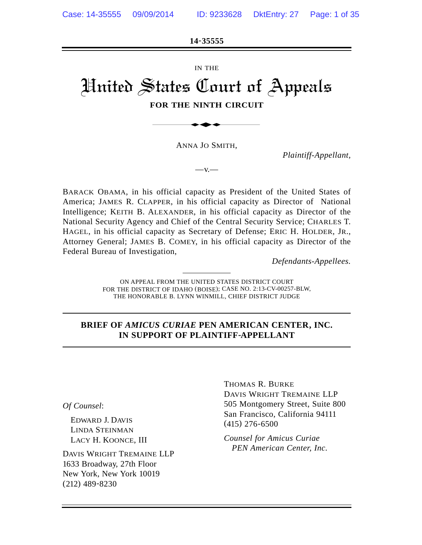**14-35555**

# IN THE United States Court of Appeals IN THE<br>
States Court of

#### **FOR THE NINTH CIRCUIT**

ANNA JO SMITH,

 $-v =$ 

*Plaintiff-Appellant,* 

BARACK OBAMA, in his official capacity as President of the United States of America; JAMES R. CLAPPER, in his official capacity as Director of National Intelligence; KEITH B. ALEXANDER, in his official capacity as Director of the National Security Agency and Chief of the Central Security Service; CHARLES T. HAGEL, in his official capacity as Secretary of Defense; ERIC H. HOLDER, JR., Attorney General; JAMES B. COMEY, in his official capacity as Director of the Federal Bureau of Investigation,

*Defendants-Appellees.* 

ON APPEAL FROM THE UNITED STATES DISTRICT COURT FOR THE DISTRICT OF IDAHO (BOISE); CASE NO. 2:13-CV-00257-BLW, THE HONORABLE B. LYNN WINMILL, CHIEF DISTRICT JUDGE

#### **BRIEF OF** *AMICUS CURIAE* **PEN AMERICAN CENTER, INC. IN SUPPORT OF PLAINTIFF-APPELLANT**

*Of Counsel*:

EDWARD J. DAVIS LINDA STEINMAN LACY H. KOONCE, III

DAVIS WRIGHT TREMAINE LLP 1633 Broadway, 27th Floor New York, New York 10019 (212) 489-8230

THOMAS R. BURKE DAVIS WRIGHT TREMAINE LLP 505 Montgomery Street, Suite 800 San Francisco, California 94111 (415) 276-6500

*Counsel for Amicus Curiae PEN American Center, Inc.*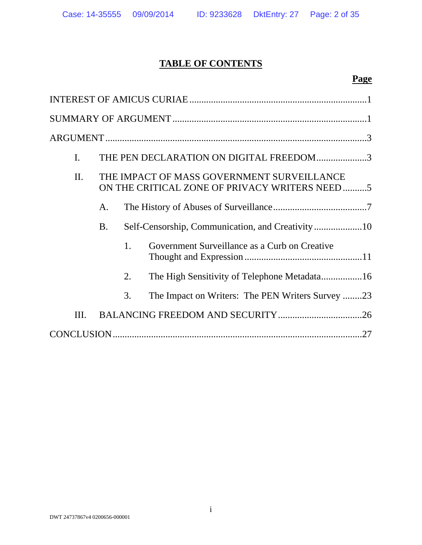# **TABLE OF CONTENTS**

## **Page**

| $\mathbf{I}$ . | THE PEN DECLARATION ON DIGITAL FREEDOM3                                                     |    |                                                  |  |  |
|----------------|---------------------------------------------------------------------------------------------|----|--------------------------------------------------|--|--|
| Π.             | THE IMPACT OF MASS GOVERNMENT SURVEILLANCE<br>ON THE CRITICAL ZONE OF PRIVACY WRITERS NEED5 |    |                                                  |  |  |
|                | A.                                                                                          |    |                                                  |  |  |
|                | <b>B.</b>                                                                                   |    |                                                  |  |  |
|                |                                                                                             | 1. | Government Surveillance as a Curb on Creative    |  |  |
|                |                                                                                             | 2. | The High Sensitivity of Telephone Metadata16     |  |  |
|                |                                                                                             | 3. | The Impact on Writers: The PEN Writers Survey 23 |  |  |
| Ш.             |                                                                                             |    |                                                  |  |  |
|                |                                                                                             |    | .27                                              |  |  |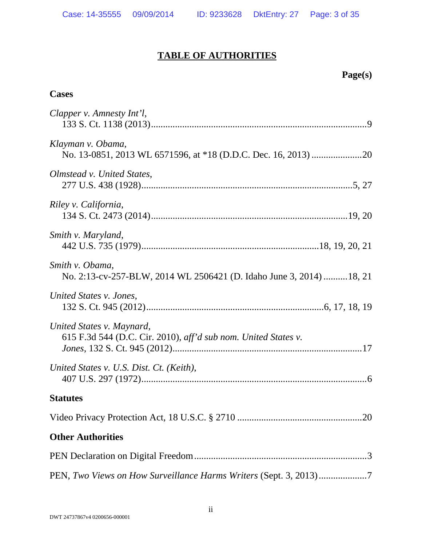Case: 14-35555 09/09/2014 ID: 9233628 DktEntry: 27 Page: 3 of 35

# **TABLE OF AUTHORITIES**

# **Page(s)**

## **Cases**

| Clapper v. Amnesty Int'l,                                                                   |
|---------------------------------------------------------------------------------------------|
| Klayman v. Obama,                                                                           |
| Olmstead v. United States,                                                                  |
| Riley v. California,                                                                        |
| Smith v. Maryland,                                                                          |
| Smith v. Obama,<br>No. 2:13-cv-257-BLW, 2014 WL 2506421 (D. Idaho June 3, 2014) 18, 21      |
| United States v. Jones,                                                                     |
| United States v. Maynard,<br>615 F.3d 544 (D.C. Cir. 2010), aff'd sub nom. United States v. |
| United States v. U.S. Dist. Ct. (Keith),                                                    |
| <b>Statutes</b>                                                                             |
|                                                                                             |
| <b>Other Authorities</b>                                                                    |
|                                                                                             |
| PEN, Two Views on How Surveillance Harms Writers (Sept. 3, 2013)7                           |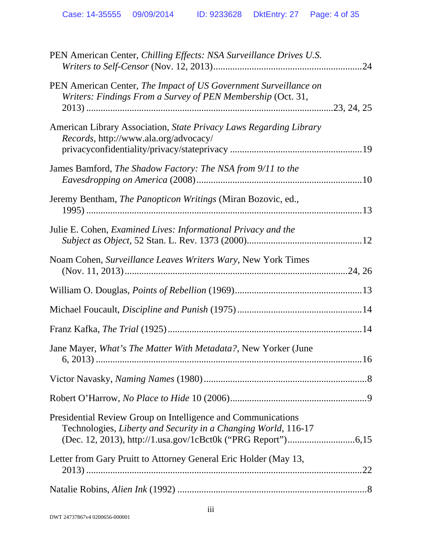| PEN American Center, Chilling Effects: NSA Surveillance Drives U.S.                                                             |  |
|---------------------------------------------------------------------------------------------------------------------------------|--|
| PEN American Center, The Impact of US Government Surveillance on<br>Writers: Findings From a Survey of PEN Membership (Oct. 31, |  |
| American Library Association, State Privacy Laws Regarding Library<br>Records, http://www.ala.org/advocacy/                     |  |
| James Bamford, The Shadow Factory: The NSA from 9/11 to the                                                                     |  |
| Jeremy Bentham, The Panopticon Writings (Miran Bozovic, ed.,                                                                    |  |
| Julie E. Cohen, <i>Examined Lives: Informational Privacy and the</i>                                                            |  |
| Noam Cohen, Surveillance Leaves Writers Wary, New York Times                                                                    |  |
|                                                                                                                                 |  |
|                                                                                                                                 |  |
|                                                                                                                                 |  |
| Jane Mayer, What's The Matter With Metadata?, New Yorker (June                                                                  |  |
|                                                                                                                                 |  |
|                                                                                                                                 |  |
| Presidential Review Group on Intelligence and Communications<br>Technologies, Liberty and Security in a Changing World, 116-17  |  |
| Letter from Gary Pruitt to Attorney General Eric Holder (May 13,                                                                |  |
|                                                                                                                                 |  |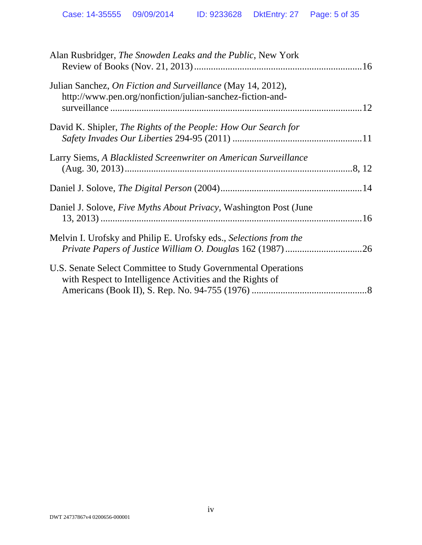| Alan Rusbridger, <i>The Snowden Leaks and the Public</i> , New York                                                        |     |
|----------------------------------------------------------------------------------------------------------------------------|-----|
| Julian Sanchez, On Fiction and Surveillance (May 14, 2012),<br>http://www.pen.org/nonfiction/julian-sanchez-fiction-and-   |     |
| David K. Shipler, The Rights of the People: How Our Search for                                                             |     |
| Larry Siems, A Blacklisted Screenwriter on American Surveillance                                                           |     |
|                                                                                                                            |     |
| Daniel J. Solove, <i>Five Myths About Privacy</i> , Washington Post (June                                                  |     |
| Melvin I. Urofsky and Philip E. Urofsky eds., Selections from the                                                          | .26 |
| U.S. Senate Select Committee to Study Governmental Operations<br>with Respect to Intelligence Activities and the Rights of |     |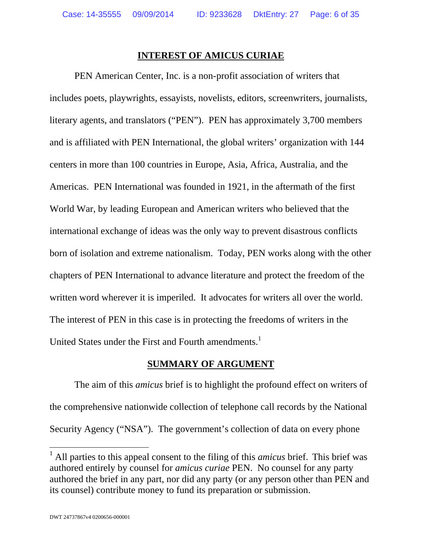#### **INTEREST OF AMICUS CURIAE**

PEN American Center, Inc. is a non-profit association of writers that includes poets, playwrights, essayists, novelists, editors, screenwriters, journalists, literary agents, and translators ("PEN"). PEN has approximately 3,700 members and is affiliated with PEN International, the global writers' organization with 144 centers in more than 100 countries in Europe, Asia, Africa, Australia, and the Americas. PEN International was founded in 1921, in the aftermath of the first World War, by leading European and American writers who believed that the international exchange of ideas was the only way to prevent disastrous conflicts born of isolation and extreme nationalism. Today, PEN works along with the other chapters of PEN International to advance literature and protect the freedom of the written word wherever it is imperiled. It advocates for writers all over the world. The interest of PEN in this case is in protecting the freedoms of writers in the United States under the First and Fourth amendments.<sup>1</sup>

#### **SUMMARY OF ARGUMENT**

The aim of this *amicus* brief is to highlight the profound effect on writers of the comprehensive nationwide collection of telephone call records by the National Security Agency ("NSA"). The government's collection of data on every phone

<sup>&</sup>lt;sup>1</sup> All parties to this appeal consent to the filing of this *amicus* brief. This brief was authored entirely by counsel for *amicus curiae* PEN. No counsel for any party authored the brief in any part, nor did any party (or any person other than PEN and its counsel) contribute money to fund its preparation or submission.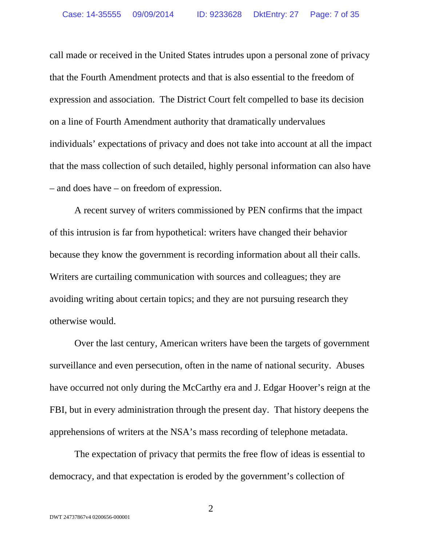call made or received in the United States intrudes upon a personal zone of privacy that the Fourth Amendment protects and that is also essential to the freedom of expression and association. The District Court felt compelled to base its decision on a line of Fourth Amendment authority that dramatically undervalues individuals' expectations of privacy and does not take into account at all the impact that the mass collection of such detailed, highly personal information can also have – and does have – on freedom of expression.

A recent survey of writers commissioned by PEN confirms that the impact of this intrusion is far from hypothetical: writers have changed their behavior because they know the government is recording information about all their calls. Writers are curtailing communication with sources and colleagues; they are avoiding writing about certain topics; and they are not pursuing research they otherwise would.

Over the last century, American writers have been the targets of government surveillance and even persecution, often in the name of national security. Abuses have occurred not only during the McCarthy era and J. Edgar Hoover's reign at the FBI, but in every administration through the present day. That history deepens the apprehensions of writers at the NSA's mass recording of telephone metadata.

The expectation of privacy that permits the free flow of ideas is essential to democracy, and that expectation is eroded by the government's collection of

2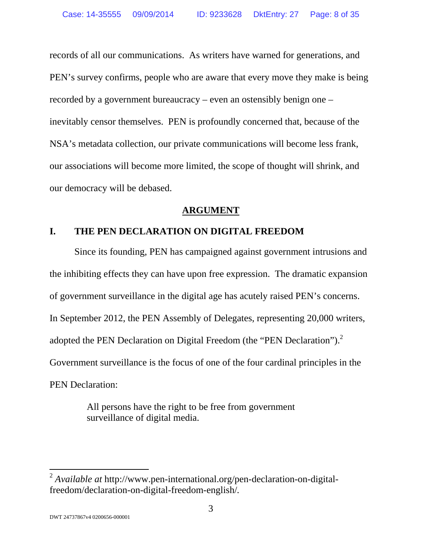records of all our communications. As writers have warned for generations, and PEN's survey confirms, people who are aware that every move they make is being recorded by a government bureaucracy – even an ostensibly benign one – inevitably censor themselves. PEN is profoundly concerned that, because of the NSA's metadata collection, our private communications will become less frank, our associations will become more limited, the scope of thought will shrink, and our democracy will be debased.

#### **ARGUMENT**

## **I. THE PEN DECLARATION ON DIGITAL FREEDOM**

Since its founding, PEN has campaigned against government intrusions and the inhibiting effects they can have upon free expression. The dramatic expansion of government surveillance in the digital age has acutely raised PEN's concerns. In September 2012, the PEN Assembly of Delegates, representing 20,000 writers, adopted the PEN Declaration on Digital Freedom (the "PEN Declaration"). $2$ Government surveillance is the focus of one of the four cardinal principles in the PEN Declaration:

> All persons have the right to be free from government surveillance of digital media.

<sup>2</sup> *Available at* http://www.pen-international.org/pen-declaration-on-digitalfreedom/declaration-on-digital-freedom-english/*.*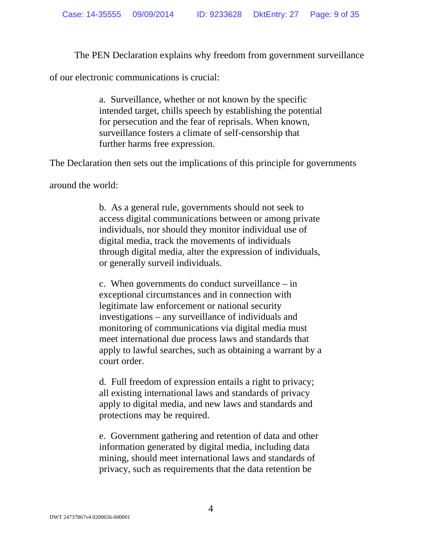The PEN Declaration explains why freedom from government surveillance

of our electronic communications is crucial:

a. Surveillance, whether or not known by the specific intended target, chills speech by establishing the potential for persecution and the fear of reprisals. When known, surveillance fosters a climate of self-censorship that further harms free expression.

The Declaration then sets out the implications of this principle for governments

around the world:

b. As a general rule, governments should not seek to access digital communications between or among private individuals, nor should they monitor individual use of digital media, track the movements of individuals through digital media, alter the expression of individuals, or generally surveil individuals.

c. When governments do conduct surveillance – in exceptional circumstances and in connection with legitimate law enforcement or national security investigations – any surveillance of individuals and monitoring of communications via digital media must meet international due process laws and standards that apply to lawful searches, such as obtaining a warrant by a court order.

d. Full freedom of expression entails a right to privacy; all existing international laws and standards of privacy apply to digital media, and new laws and standards and protections may be required.

e. Government gathering and retention of data and other information generated by digital media, including data mining, should meet international laws and standards of privacy, such as requirements that the data retention be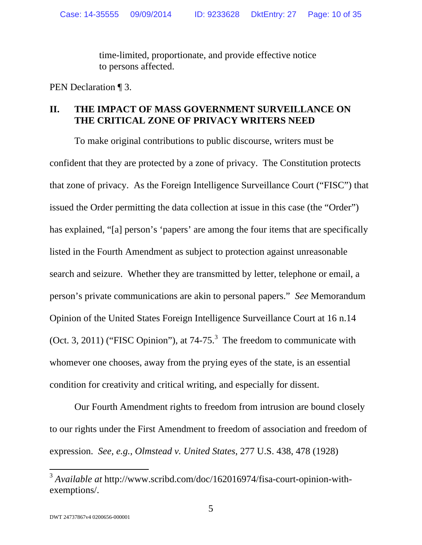time-limited, proportionate, and provide effective notice to persons affected.

PEN Declaration ¶ 3.

#### **II. THE IMPACT OF MASS GOVERNMENT SURVEILLANCE ON THE CRITICAL ZONE OF PRIVACY WRITERS NEED**

To make original contributions to public discourse, writers must be confident that they are protected by a zone of privacy. The Constitution protects that zone of privacy. As the Foreign Intelligence Surveillance Court ("FISC") that issued the Order permitting the data collection at issue in this case (the "Order") has explained, "[a] person's 'papers' are among the four items that are specifically listed in the Fourth Amendment as subject to protection against unreasonable search and seizure. Whether they are transmitted by letter, telephone or email, a person's private communications are akin to personal papers." *See* Memorandum Opinion of the United States Foreign Intelligence Surveillance Court at 16 n.14 (Oct. 3, 2011) ("FISC Opinion"), at  $74-75$ <sup>3</sup>. The freedom to communicate with whomever one chooses, away from the prying eyes of the state, is an essential condition for creativity and critical writing, and especially for dissent.

Our Fourth Amendment rights to freedom from intrusion are bound closely to our rights under the First Amendment to freedom of association and freedom of expression. *See, e.g.*, *Olmstead v. United States*, 277 U.S. 438, 478 (1928)

<sup>3</sup> *Available at* http://www.scribd.com/doc/162016974/fisa-court-opinion-withexemptions/.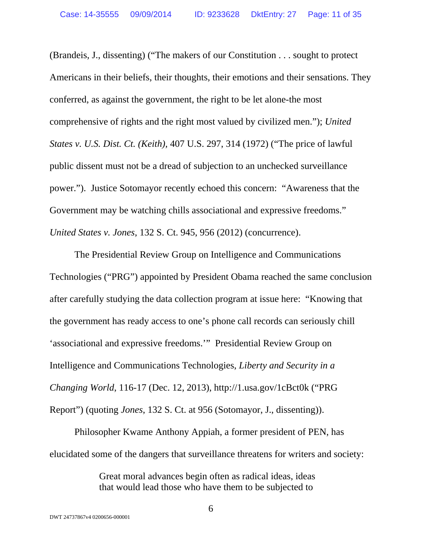(Brandeis, J., dissenting) ("The makers of our Constitution . . . sought to protect Americans in their beliefs, their thoughts, their emotions and their sensations. They conferred, as against the government, the right to be let alone-the most comprehensive of rights and the right most valued by civilized men."); *United States v. U.S. Dist. Ct. (Keith),* 407 U.S. 297, 314 (1972) ("The price of lawful public dissent must not be a dread of subjection to an unchecked surveillance power."). Justice Sotomayor recently echoed this concern: "Awareness that the Government may be watching chills associational and expressive freedoms." *United States v. Jones*, 132 S. Ct. 945, 956 (2012) (concurrence).

The Presidential Review Group on Intelligence and Communications Technologies ("PRG") appointed by President Obama reached the same conclusion after carefully studying the data collection program at issue here: "Knowing that the government has ready access to one's phone call records can seriously chill 'associational and expressive freedoms.'" Presidential Review Group on Intelligence and Communications Technologies, *Liberty and Security in a Changing World*, 116-17 (Dec. 12, 2013), http://1.usa.gov/1cBct0k ("PRG Report") (quoting *Jones*, 132 S. Ct. at 956 (Sotomayor, J., dissenting)).

Philosopher Kwame Anthony Appiah, a former president of PEN, has elucidated some of the dangers that surveillance threatens for writers and society:

> Great moral advances begin often as radical ideas, ideas that would lead those who have them to be subjected to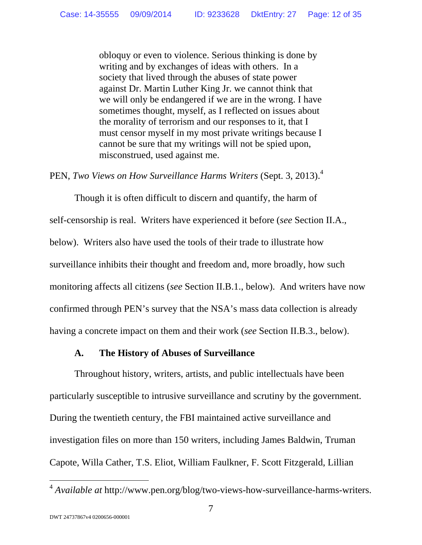obloquy or even to violence. Serious thinking is done by writing and by exchanges of ideas with others. In a society that lived through the abuses of state power against Dr. Martin Luther King Jr. we cannot think that we will only be endangered if we are in the wrong. I have sometimes thought, myself, as I reflected on issues about the morality of terrorism and our responses to it, that I must censor myself in my most private writings because I cannot be sure that my writings will not be spied upon, misconstrued, used against me.

PEN, *Two Views on How Surveillance Harms Writers* (Sept. 3, 2013).<sup>4</sup>

Though it is often difficult to discern and quantify, the harm of self-censorship is real. Writers have experienced it before (*see* Section II.A., below). Writers also have used the tools of their trade to illustrate how surveillance inhibits their thought and freedom and, more broadly, how such monitoring affects all citizens (*see* Section II.B.1., below). And writers have now confirmed through PEN's survey that the NSA's mass data collection is already having a concrete impact on them and their work (*see* Section II.B.3., below).

#### **A. The History of Abuses of Surveillance**

Throughout history, writers, artists, and public intellectuals have been particularly susceptible to intrusive surveillance and scrutiny by the government. During the twentieth century, the FBI maintained active surveillance and investigation files on more than 150 writers, including James Baldwin, Truman Capote, Willa Cather, T.S. Eliot, William Faulkner, F. Scott Fitzgerald, Lillian

<sup>4</sup> *Available at* http://www.pen.org/blog/two-views-how-surveillance-harms-writers.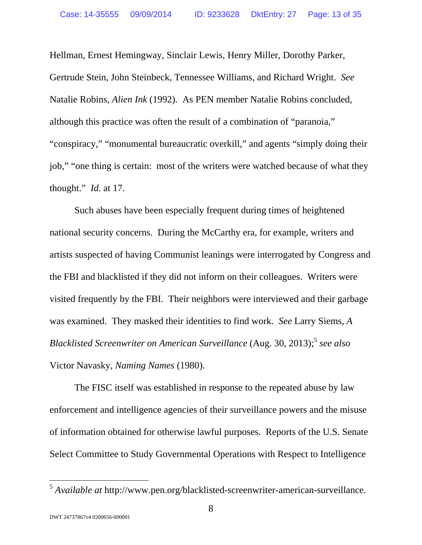Hellman, Ernest Hemingway, Sinclair Lewis, Henry Miller, Dorothy Parker, Gertrude Stein, John Steinbeck, Tennessee Williams, and Richard Wright. *See* Natalie Robins, *Alien Ink* (1992). As PEN member Natalie Robins concluded, although this practice was often the result of a combination of "paranoia," "conspiracy," "monumental bureaucratic overkill," and agents "simply doing their job," "one thing is certain: most of the writers were watched because of what they thought." *Id.* at 17.

Such abuses have been especially frequent during times of heightened national security concerns. During the McCarthy era, for example, writers and artists suspected of having Communist leanings were interrogated by Congress and the FBI and blacklisted if they did not inform on their colleagues. Writers were visited frequently by the FBI. Their neighbors were interviewed and their garbage was examined. They masked their identities to find work. *See* Larry Siems, *A Blacklisted Screenwriter on American Surveillance* (Aug. 30, 2013);<sup>5</sup> *see also* Victor Navasky, *Naming Names* (1980).

The FISC itself was established in response to the repeated abuse by law enforcement and intelligence agencies of their surveillance powers and the misuse of information obtained for otherwise lawful purposes. Reports of the U.S. Senate Select Committee to Study Governmental Operations with Respect to Intelligence

<sup>&</sup>lt;sup>5</sup> *Available at* http://www.pen.org/blacklisted-screenwriter-american-surveillance.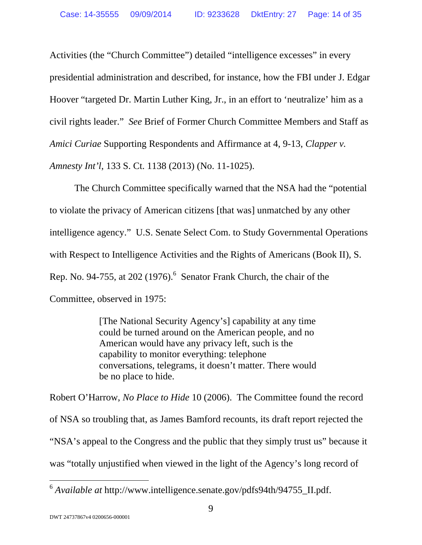Activities (the "Church Committee") detailed "intelligence excesses" in every presidential administration and described, for instance, how the FBI under J. Edgar Hoover "targeted Dr. Martin Luther King, Jr., in an effort to 'neutralize' him as a civil rights leader." *See* Brief of Former Church Committee Members and Staff as *Amici Curiae* Supporting Respondents and Affirmance at 4, 9-13, *Clapper v. Amnesty Int'l*, 133 S. Ct. 1138 (2013) (No. 11-1025).

The Church Committee specifically warned that the NSA had the "potential to violate the privacy of American citizens [that was] unmatched by any other intelligence agency." U.S. Senate Select Com. to Study Governmental Operations with Respect to Intelligence Activities and the Rights of Americans (Book II), S. Rep. No. 94-755, at  $202$  (1976).<sup>6</sup> Senator Frank Church, the chair of the Committee, observed in 1975:

> [The National Security Agency's] capability at any time could be turned around on the American people, and no American would have any privacy left, such is the capability to monitor everything: telephone conversations, telegrams, it doesn't matter. There would be no place to hide.

Robert O'Harrow, *No Place to Hide* 10 (2006). The Committee found the record of NSA so troubling that, as James Bamford recounts, its draft report rejected the "NSA's appeal to the Congress and the public that they simply trust us" because it was "totally unjustified when viewed in the light of the Agency's long record of

<sup>6</sup> *Available at* http://www.intelligence.senate.gov/pdfs94th/94755\_II.pdf.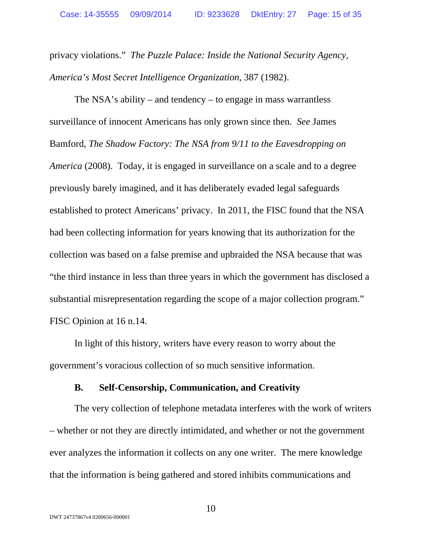privacy violations." *The Puzzle Palace: Inside the National Security Agency, America's Most Secret Intelligence Organization*, 387 (1982).

The NSA's ability – and tendency – to engage in mass warrantless surveillance of innocent Americans has only grown since then. *See* James Bamford, *The Shadow Factory: The NSA from 9/11 to the Eavesdropping on America* (2008). Today, it is engaged in surveillance on a scale and to a degree previously barely imagined, and it has deliberately evaded legal safeguards established to protect Americans' privacy. In 2011, the FISC found that the NSA had been collecting information for years knowing that its authorization for the collection was based on a false premise and upbraided the NSA because that was "the third instance in less than three years in which the government has disclosed a substantial misrepresentation regarding the scope of a major collection program." FISC Opinion at 16 n.14.

In light of this history, writers have every reason to worry about the government's voracious collection of so much sensitive information.

#### **B. Self-Censorship, Communication, and Creativity**

The very collection of telephone metadata interferes with the work of writers – whether or not they are directly intimidated, and whether or not the government ever analyzes the information it collects on any one writer. The mere knowledge that the information is being gathered and stored inhibits communications and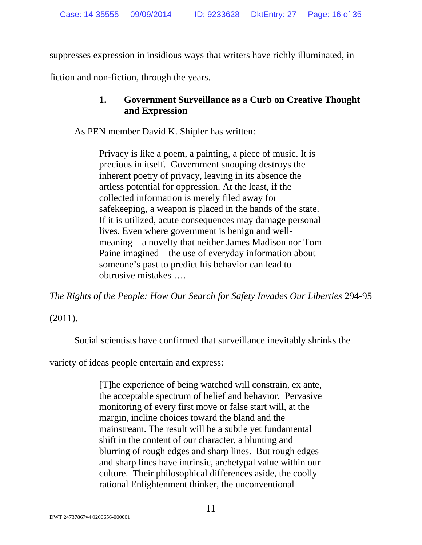suppresses expression in insidious ways that writers have richly illuminated, in

fiction and non-fiction, through the years.

# **1. Government Surveillance as a Curb on Creative Thought and Expression**

As PEN member David K. Shipler has written:

Privacy is like a poem, a painting, a piece of music. It is precious in itself. Government snooping destroys the inherent poetry of privacy, leaving in its absence the artless potential for oppression. At the least, if the collected information is merely filed away for safekeeping, a weapon is placed in the hands of the state. If it is utilized, acute consequences may damage personal lives. Even where government is benign and wellmeaning – a novelty that neither James Madison nor Tom Paine imagined – the use of everyday information about someone's past to predict his behavior can lead to obtrusive mistakes ….

*The Rights of the People: How Our Search for Safety Invades Our Liberties* 294-95

(2011).

Social scientists have confirmed that surveillance inevitably shrinks the

variety of ideas people entertain and express:

[T]he experience of being watched will constrain, ex ante, the acceptable spectrum of belief and behavior. Pervasive monitoring of every first move or false start will, at the margin, incline choices toward the bland and the mainstream. The result will be a subtle yet fundamental shift in the content of our character, a blunting and blurring of rough edges and sharp lines. But rough edges and sharp lines have intrinsic, archetypal value within our culture. Their philosophical differences aside, the coolly rational Enlightenment thinker, the unconventional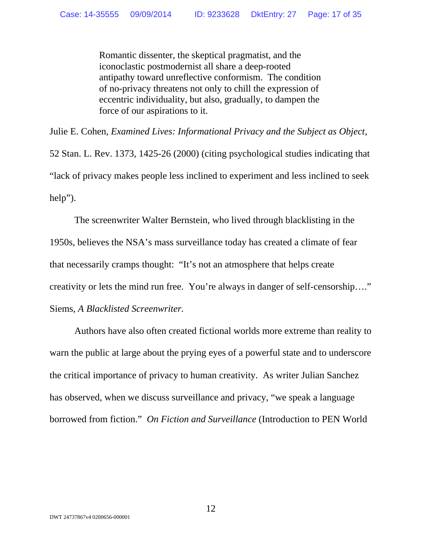Romantic dissenter, the skeptical pragmatist, and the iconoclastic postmodernist all share a deep-rooted antipathy toward unreflective conformism. The condition of no-privacy threatens not only to chill the expression of eccentric individuality, but also, gradually, to dampen the force of our aspirations to it.

Julie E. Cohen, *Examined Lives: Informational Privacy and the Subject as Object*,

52 Stan. L. Rev. 1373, 1425-26 (2000) (citing psychological studies indicating that "lack of privacy makes people less inclined to experiment and less inclined to seek help").

The screenwriter Walter Bernstein, who lived through blacklisting in the 1950s, believes the NSA's mass surveillance today has created a climate of fear that necessarily cramps thought: "It's not an atmosphere that helps create creativity or lets the mind run free. You're always in danger of self-censorship…." Siems, *A Blacklisted Screenwriter.*

Authors have also often created fictional worlds more extreme than reality to warn the public at large about the prying eyes of a powerful state and to underscore the critical importance of privacy to human creativity. As writer Julian Sanchez has observed, when we discuss surveillance and privacy, "we speak a language borrowed from fiction." *On Fiction and Surveillance* (Introduction to PEN World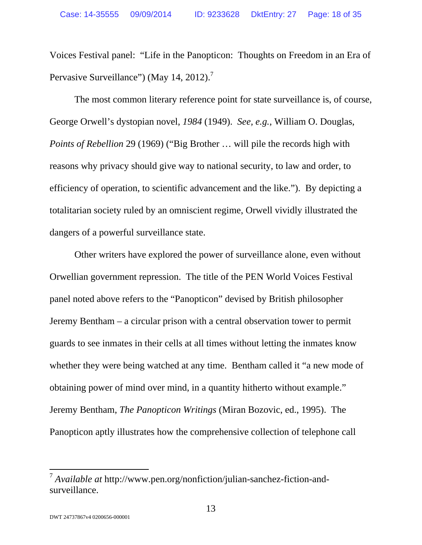Voices Festival panel: "Life in the Panopticon: Thoughts on Freedom in an Era of Pervasive Surveillance") (May 14, 2012).<sup>7</sup>

The most common literary reference point for state surveillance is, of course, George Orwell's dystopian novel, *1984* (1949). *See, e.g.*, William O. Douglas, *Points of Rebellion* 29 (1969) ("Big Brother ... will pile the records high with reasons why privacy should give way to national security, to law and order, to efficiency of operation, to scientific advancement and the like."). By depicting a totalitarian society ruled by an omniscient regime, Orwell vividly illustrated the dangers of a powerful surveillance state.

Other writers have explored the power of surveillance alone, even without Orwellian government repression. The title of the PEN World Voices Festival panel noted above refers to the "Panopticon" devised by British philosopher Jeremy Bentham – a circular prison with a central observation tower to permit guards to see inmates in their cells at all times without letting the inmates know whether they were being watched at any time. Bentham called it "a new mode of obtaining power of mind over mind, in a quantity hitherto without example." Jeremy Bentham, *The Panopticon Writings* (Miran Bozovic, ed., 1995). The Panopticon aptly illustrates how the comprehensive collection of telephone call

<sup>7</sup> *Available at* http://www.pen.org/nonfiction/julian-sanchez-fiction-andsurveillance.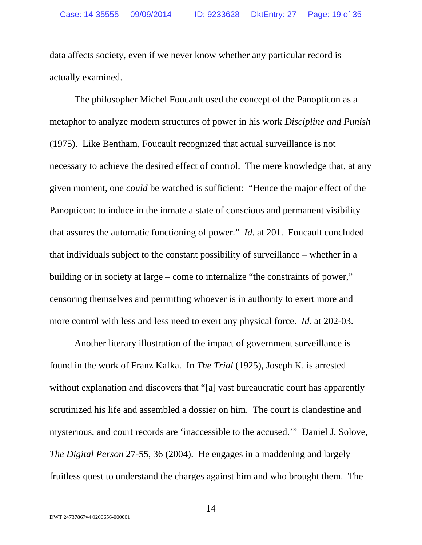data affects society, even if we never know whether any particular record is actually examined.

The philosopher Michel Foucault used the concept of the Panopticon as a metaphor to analyze modern structures of power in his work *Discipline and Punish* (1975). Like Bentham, Foucault recognized that actual surveillance is not necessary to achieve the desired effect of control. The mere knowledge that, at any given moment, one *could* be watched is sufficient: "Hence the major effect of the Panopticon: to induce in the inmate a state of conscious and permanent visibility that assures the automatic functioning of power." *Id.* at 201. Foucault concluded that individuals subject to the constant possibility of surveillance – whether in a building or in society at large – come to internalize "the constraints of power," censoring themselves and permitting whoever is in authority to exert more and more control with less and less need to exert any physical force. *Id.* at 202-03.

Another literary illustration of the impact of government surveillance is found in the work of Franz Kafka. In *The Trial* (1925), Joseph K. is arrested without explanation and discovers that "[a] vast bureaucratic court has apparently scrutinized his life and assembled a dossier on him. The court is clandestine and mysterious, and court records are 'inaccessible to the accused.'" Daniel J. Solove, *The Digital Person* 27-55, 36 (2004). He engages in a maddening and largely fruitless quest to understand the charges against him and who brought them. The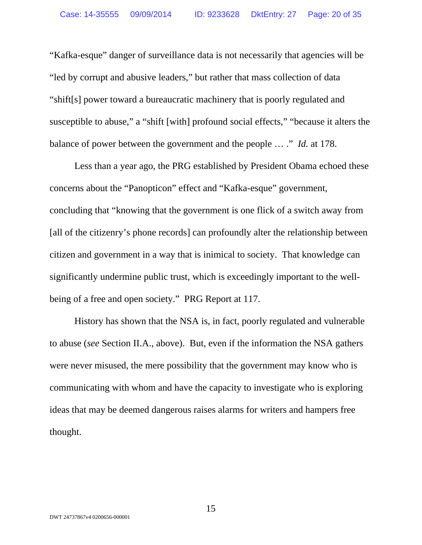"Kafka-esque" danger of surveillance data is not necessarily that agencies will be "led by corrupt and abusive leaders," but rather that mass collection of data "shift[s] power toward a bureaucratic machinery that is poorly regulated and susceptible to abuse," a "shift [with] profound social effects," "because it alters the balance of power between the government and the people … ." *Id.* at 178.

Less than a year ago, the PRG established by President Obama echoed these concerns about the "Panopticon" effect and "Kafka-esque" government, concluding that "knowing that the government is one flick of a switch away from [all of the citizenry's phone records] can profoundly alter the relationship between citizen and government in a way that is inimical to society. That knowledge can significantly undermine public trust, which is exceedingly important to the wellbeing of a free and open society." PRG Report at 117.

History has shown that the NSA is, in fact, poorly regulated and vulnerable to abuse (*see* Section II.A., above). But, even if the information the NSA gathers were never misused, the mere possibility that the government may know who is communicating with whom and have the capacity to investigate who is exploring ideas that may be deemed dangerous raises alarms for writers and hampers free thought.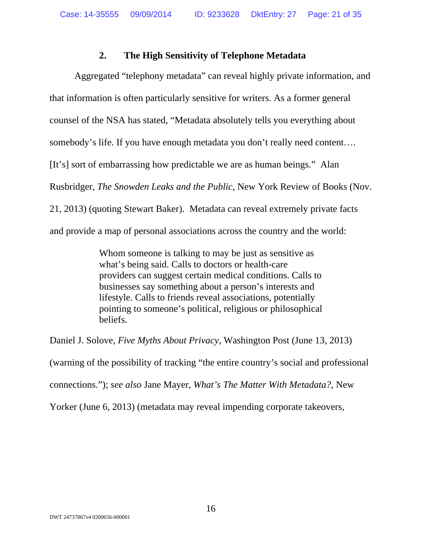#### **2. The High Sensitivity of Telephone Metadata**

Aggregated "telephony metadata" can reveal highly private information, and that information is often particularly sensitive for writers. As a former general counsel of the NSA has stated, "Metadata absolutely tells you everything about somebody's life. If you have enough metadata you don't really need content…. [It's] sort of embarrassing how predictable we are as human beings." Alan Rusbridger, *The Snowden Leaks and the Public*, New York Review of Books (Nov. 21, 2013) (quoting Stewart Baker). Metadata can reveal extremely private facts and provide a map of personal associations across the country and the world:

> Whom someone is talking to may be just as sensitive as what's being said. Calls to doctors or health-care providers can suggest certain medical conditions. Calls to businesses say something about a person's interests and lifestyle. Calls to friends reveal associations, potentially pointing to someone's political, religious or philosophical beliefs.

Daniel J. Solove, *Five Myths About Privacy*, Washington Post (June 13, 2013) (warning of the possibility of tracking "the entire country's social and professional connections."); *see also* Jane Mayer, *What's The Matter With Metadata?*, New Yorker (June 6, 2013) (metadata may reveal impending corporate takeovers,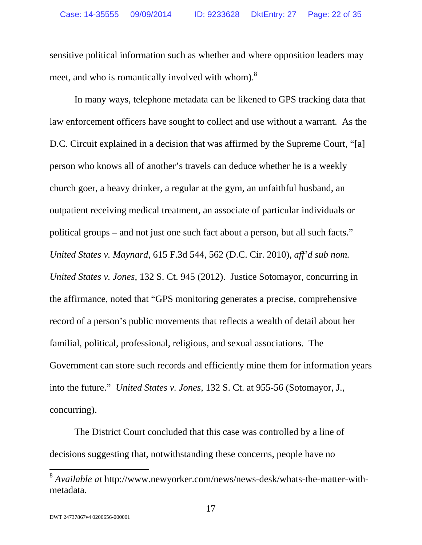sensitive political information such as whether and where opposition leaders may meet, and who is romantically involved with whom). $8$ 

In many ways, telephone metadata can be likened to GPS tracking data that law enforcement officers have sought to collect and use without a warrant. As the D.C. Circuit explained in a decision that was affirmed by the Supreme Court, "[a] person who knows all of another's travels can deduce whether he is a weekly church goer, a heavy drinker, a regular at the gym, an unfaithful husband, an outpatient receiving medical treatment, an associate of particular individuals or political groups – and not just one such fact about a person, but all such facts." *United States v. Maynard*, 615 F.3d 544, 562 (D.C. Cir. 2010), *aff'd sub nom. United States v. Jones*, 132 S. Ct. 945 (2012). Justice Sotomayor, concurring in the affirmance, noted that "GPS monitoring generates a precise, comprehensive record of a person's public movements that reflects a wealth of detail about her familial, political, professional, religious, and sexual associations. The Government can store such records and efficiently mine them for information years into the future." *United States v. Jones*, 132 S. Ct. at 955-56 (Sotomayor, J., concurring).

The District Court concluded that this case was controlled by a line of decisions suggesting that, notwithstanding these concerns, people have no

<sup>8</sup> *Available at* http://www.newyorker.com/news/news-desk/whats-the-matter-withmetadata.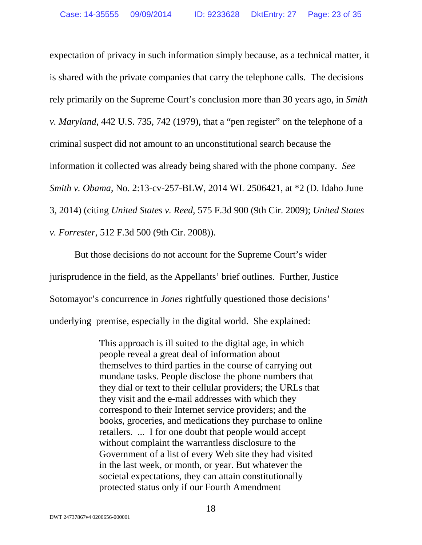expectation of privacy in such information simply because, as a technical matter, it is shared with the private companies that carry the telephone calls. The decisions rely primarily on the Supreme Court's conclusion more than 30 years ago, in *Smith v. Maryland*, 442 U.S. 735, 742 (1979), that a "pen register" on the telephone of a criminal suspect did not amount to an unconstitutional search because the information it collected was already being shared with the phone company. *See Smith v. Obama*, No. 2:13-cv-257-BLW, 2014 WL 2506421, at \*2 (D. Idaho June 3, 2014) (citing *United States v. Reed*, 575 F.3d 900 (9th Cir. 2009); *United States v. Forrester*, 512 F.3d 500 (9th Cir. 2008)).

But those decisions do not account for the Supreme Court's wider jurisprudence in the field, as the Appellants' brief outlines. Further, Justice Sotomayor's concurrence in *Jones* rightfully questioned those decisions' underlying premise, especially in the digital world. She explained:

> This approach is ill suited to the digital age, in which people reveal a great deal of information about themselves to third parties in the course of carrying out mundane tasks. People disclose the phone numbers that they dial or text to their cellular providers; the URLs that they visit and the e-mail addresses with which they correspond to their Internet service providers; and the books, groceries, and medications they purchase to online retailers. ... I for one doubt that people would accept without complaint the warrantless disclosure to the Government of a list of every Web site they had visited in the last week, or month, or year. But whatever the societal expectations, they can attain constitutionally protected status only if our Fourth Amendment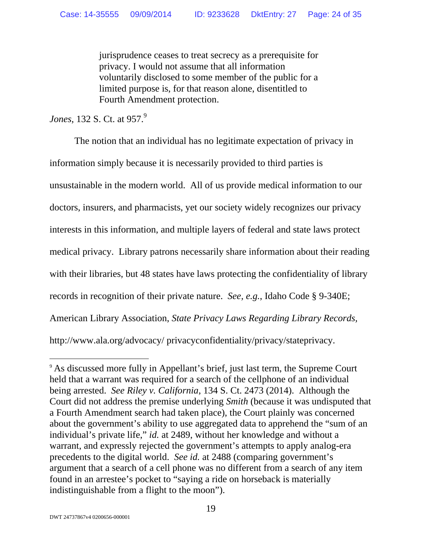jurisprudence ceases to treat secrecy as a prerequisite for privacy. I would not assume that all information voluntarily disclosed to some member of the public for a limited purpose is, for that reason alone, disentitled to Fourth Amendment protection.

*Jones*, 132 S. Ct. at 957.<sup>9</sup>

The notion that an individual has no legitimate expectation of privacy in information simply because it is necessarily provided to third parties is unsustainable in the modern world. All of us provide medical information to our doctors, insurers, and pharmacists, yet our society widely recognizes our privacy interests in this information, and multiple layers of federal and state laws protect medical privacy. Library patrons necessarily share information about their reading with their libraries, but 48 states have laws protecting the confidentiality of library records in recognition of their private nature. *See, e.g.*, Idaho Code § 9-340E; American Library Association, *State Privacy Laws Regarding Library Records,* http://www.ala.org/advocacy/ privacyconfidentiality/privacy/stateprivacy.

<sup>9</sup> As discussed more fully in Appellant's brief, just last term, the Supreme Court held that a warrant was required for a search of the cellphone of an individual being arrested. *See Riley v. California*, 134 S. Ct. 2473 (2014). Although the Court did not address the premise underlying *Smith* (because it was undisputed that a Fourth Amendment search had taken place), the Court plainly was concerned about the government's ability to use aggregated data to apprehend the "sum of an individual's private life," *id.* at 2489, without her knowledge and without a warrant, and expressly rejected the government's attempts to apply analog-era precedents to the digital world. *See id.* at 2488 (comparing government's argument that a search of a cell phone was no different from a search of any item found in an arrestee's pocket to "saying a ride on horseback is materially indistinguishable from a flight to the moon").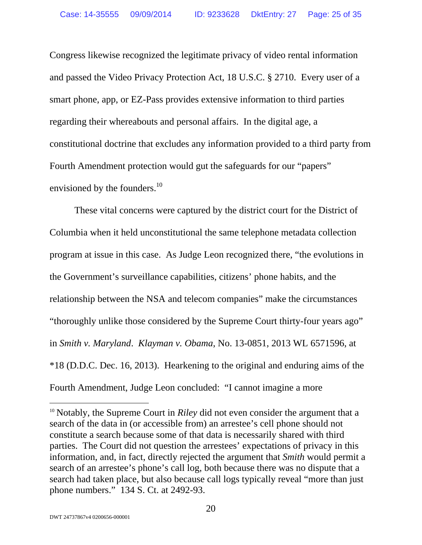Congress likewise recognized the legitimate privacy of video rental information and passed the Video Privacy Protection Act, 18 U.S.C. § 2710. Every user of a smart phone, app, or EZ-Pass provides extensive information to third parties regarding their whereabouts and personal affairs. In the digital age, a constitutional doctrine that excludes any information provided to a third party from Fourth Amendment protection would gut the safeguards for our "papers" envisioned by the founders.<sup>10</sup>

These vital concerns were captured by the district court for the District of Columbia when it held unconstitutional the same telephone metadata collection program at issue in this case. As Judge Leon recognized there, "the evolutions in the Government's surveillance capabilities, citizens' phone habits, and the relationship between the NSA and telecom companies" make the circumstances "thoroughly unlike those considered by the Supreme Court thirty-four years ago" in *Smith v. Maryland*. *Klayman v. Obama*, No. 13-0851, 2013 WL 6571596, at \*18 (D.D.C. Dec. 16, 2013). Hearkening to the original and enduring aims of the Fourth Amendment, Judge Leon concluded: "I cannot imagine a more

<sup>&</sup>lt;sup>10</sup> Notably, the Supreme Court in *Riley* did not even consider the argument that a search of the data in (or accessible from) an arrestee's cell phone should not constitute a search because some of that data is necessarily shared with third parties. The Court did not question the arrestees' expectations of privacy in this information, and, in fact, directly rejected the argument that *Smith* would permit a search of an arrestee's phone's call log, both because there was no dispute that a search had taken place, but also because call logs typically reveal "more than just phone numbers." 134 S. Ct. at 2492-93.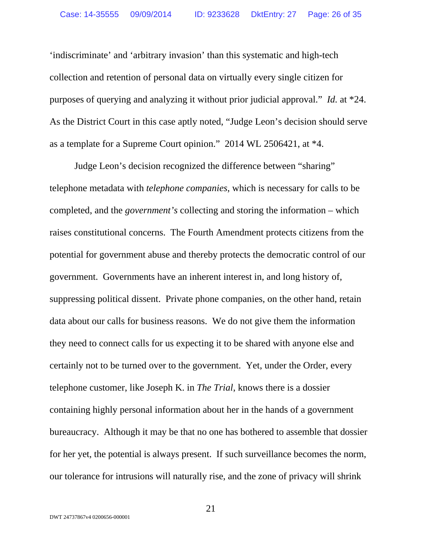'indiscriminate' and 'arbitrary invasion' than this systematic and high-tech collection and retention of personal data on virtually every single citizen for purposes of querying and analyzing it without prior judicial approval." *Id.* at \*24. As the District Court in this case aptly noted, "Judge Leon's decision should serve as a template for a Supreme Court opinion." 2014 WL 2506421, at \*4.

Judge Leon's decision recognized the difference between "sharing" telephone metadata with *telephone companies*, which is necessary for calls to be completed, and the *government's* collecting and storing the information – which raises constitutional concerns. The Fourth Amendment protects citizens from the potential for government abuse and thereby protects the democratic control of our government. Governments have an inherent interest in, and long history of, suppressing political dissent. Private phone companies, on the other hand, retain data about our calls for business reasons. We do not give them the information they need to connect calls for us expecting it to be shared with anyone else and certainly not to be turned over to the government. Yet, under the Order, every telephone customer, like Joseph K. in *The Trial*, knows there is a dossier containing highly personal information about her in the hands of a government bureaucracy. Although it may be that no one has bothered to assemble that dossier for her yet, the potential is always present. If such surveillance becomes the norm, our tolerance for intrusions will naturally rise, and the zone of privacy will shrink

21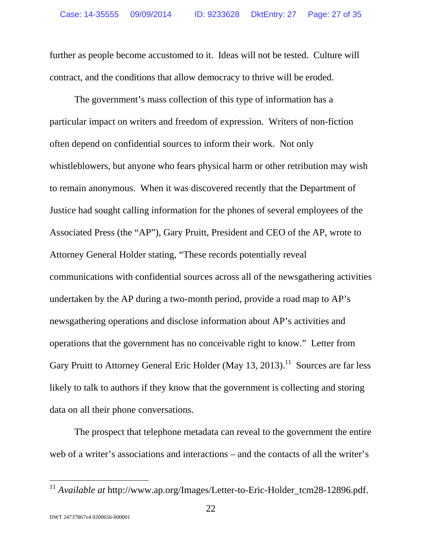further as people become accustomed to it. Ideas will not be tested. Culture will contract, and the conditions that allow democracy to thrive will be eroded.

The government's mass collection of this type of information has a particular impact on writers and freedom of expression. Writers of non-fiction often depend on confidential sources to inform their work. Not only whistleblowers, but anyone who fears physical harm or other retribution may wish to remain anonymous. When it was discovered recently that the Department of Justice had sought calling information for the phones of several employees of the Associated Press (the "AP"), Gary Pruitt, President and CEO of the AP, wrote to Attorney General Holder stating, "These records potentially reveal communications with confidential sources across all of the newsgathering activities undertaken by the AP during a two-month period, provide a road map to AP's newsgathering operations and disclose information about AP's activities and operations that the government has no conceivable right to know." Letter from Gary Pruitt to Attorney General Eric Holder (May 13, 2013).<sup>11</sup> Sources are far less likely to talk to authors if they know that the government is collecting and storing data on all their phone conversations.

The prospect that telephone metadata can reveal to the government the entire web of a writer's associations and interactions – and the contacts of all the writer's

<sup>&</sup>lt;sup>11</sup> *Available at* http://www.ap.org/Images/Letter-to-Eric-Holder\_tcm28-12896.pdf.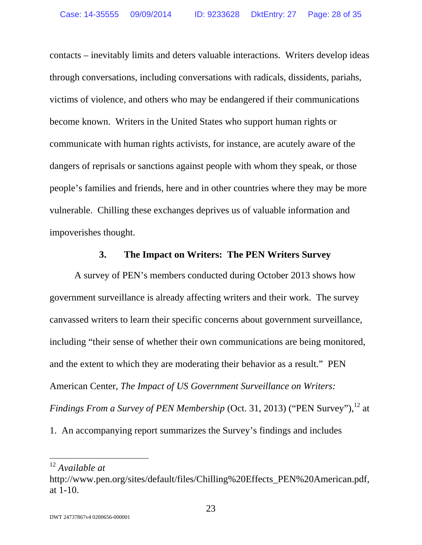contacts – inevitably limits and deters valuable interactions. Writers develop ideas through conversations, including conversations with radicals, dissidents, pariahs, victims of violence, and others who may be endangered if their communications become known. Writers in the United States who support human rights or communicate with human rights activists, for instance, are acutely aware of the dangers of reprisals or sanctions against people with whom they speak, or those people's families and friends, here and in other countries where they may be more vulnerable. Chilling these exchanges deprives us of valuable information and impoverishes thought.

#### **3. The Impact on Writers: The PEN Writers Survey**

A survey of PEN's members conducted during October 2013 shows how government surveillance is already affecting writers and their work. The survey canvassed writers to learn their specific concerns about government surveillance, including "their sense of whether their own communications are being monitored, and the extent to which they are moderating their behavior as a result." PEN American Center, *The Impact of US Government Surveillance on Writers: Findings From a Survey of PEN Membership (Oct. 31, 2013) ("PEN Survey"),*<sup>12</sup> at

1. An accompanying report summarizes the Survey's findings and includes

<sup>12</sup> *Available at* 

http://www.pen.org/sites/default/files/Chilling%20Effects\_PEN%20American.pdf, at 1-10.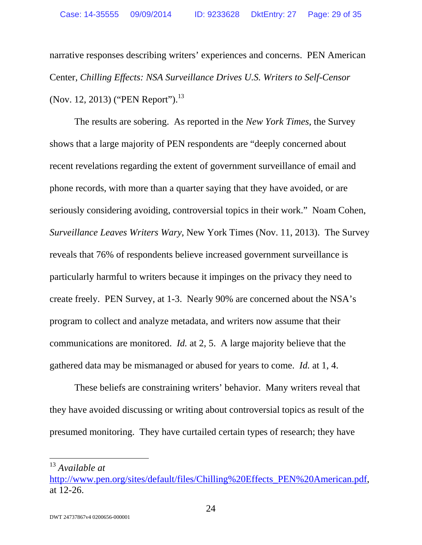narrative responses describing writers' experiences and concerns. PEN American Center, *Chilling Effects: NSA Surveillance Drives U.S. Writers to Self-Censor*  $(Nov. 12, 2013)$  ("PEN Report").<sup>13</sup>

The results are sobering. As reported in the *New York Times*, the Survey shows that a large majority of PEN respondents are "deeply concerned about recent revelations regarding the extent of government surveillance of email and phone records, with more than a quarter saying that they have avoided, or are seriously considering avoiding, controversial topics in their work." Noam Cohen, *Surveillance Leaves Writers Wary*, New York Times (Nov. 11, 2013). The Survey reveals that 76% of respondents believe increased government surveillance is particularly harmful to writers because it impinges on the privacy they need to create freely. PEN Survey, at 1-3. Nearly 90% are concerned about the NSA's program to collect and analyze metadata, and writers now assume that their communications are monitored. *Id.* at 2, 5. A large majority believe that the gathered data may be mismanaged or abused for years to come. *Id.* at 1, 4.

These beliefs are constraining writers' behavior. Many writers reveal that they have avoided discussing or writing about controversial topics as result of the presumed monitoring. They have curtailed certain types of research; they have

<sup>13</sup> *Available at* 

http://www.pen.org/sites/default/files/Chilling%20Effects\_PEN%20American.pdf, at 12-26.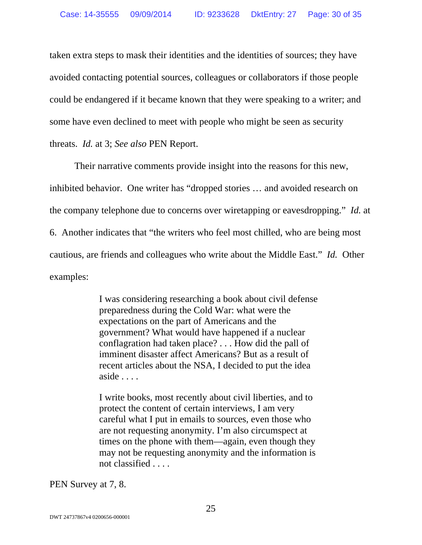taken extra steps to mask their identities and the identities of sources; they have avoided contacting potential sources, colleagues or collaborators if those people could be endangered if it became known that they were speaking to a writer; and some have even declined to meet with people who might be seen as security threats. *Id.* at 3; *See also* PEN Report.

Their narrative comments provide insight into the reasons for this new, inhibited behavior. One writer has "dropped stories … and avoided research on the company telephone due to concerns over wiretapping or eavesdropping." *Id.* at 6. Another indicates that "the writers who feel most chilled, who are being most cautious, are friends and colleagues who write about the Middle East." *Id.* Other examples:

> I was considering researching a book about civil defense preparedness during the Cold War: what were the expectations on the part of Americans and the government? What would have happened if a nuclear conflagration had taken place? . . . How did the pall of imminent disaster affect Americans? But as a result of recent articles about the NSA, I decided to put the idea aside . . . .

> I write books, most recently about civil liberties, and to protect the content of certain interviews, I am very careful what I put in emails to sources, even those who are not requesting anonymity. I'm also circumspect at times on the phone with them—again, even though they may not be requesting anonymity and the information is not classified . . . .

PEN Survey at 7, 8.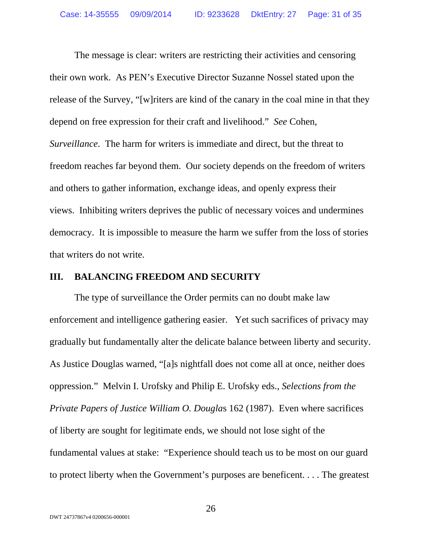The message is clear: writers are restricting their activities and censoring their own work. As PEN's Executive Director Suzanne Nossel stated upon the release of the Survey, "[w]riters are kind of the canary in the coal mine in that they depend on free expression for their craft and livelihood." *See* Cohen, *Surveillance*. The harm for writers is immediate and direct, but the threat to freedom reaches far beyond them. Our society depends on the freedom of writers and others to gather information, exchange ideas, and openly express their views. Inhibiting writers deprives the public of necessary voices and undermines democracy. It is impossible to measure the harm we suffer from the loss of stories that writers do not write.

#### **III. BALANCING FREEDOM AND SECURITY**

The type of surveillance the Order permits can no doubt make law enforcement and intelligence gathering easier. Yet such sacrifices of privacy may gradually but fundamentally alter the delicate balance between liberty and security. As Justice Douglas warned, "[a]s nightfall does not come all at once, neither does oppression." Melvin I. Urofsky and Philip E. Urofsky eds., *Selections from the Private Papers of Justice William O. Dougla*s 162 (1987). Even where sacrifices of liberty are sought for legitimate ends, we should not lose sight of the fundamental values at stake: "Experience should teach us to be most on our guard to protect liberty when the Government's purposes are beneficent. . . . The greatest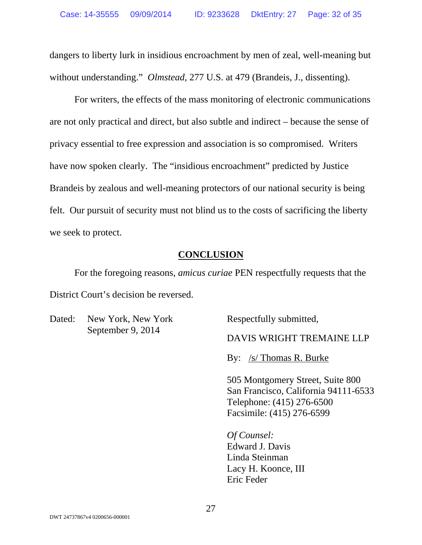dangers to liberty lurk in insidious encroachment by men of zeal, well-meaning but without understanding." *Olmstead*, 277 U.S. at 479 (Brandeis, J., dissenting).

For writers, the effects of the mass monitoring of electronic communications are not only practical and direct, but also subtle and indirect – because the sense of privacy essential to free expression and association is so compromised. Writers have now spoken clearly. The "insidious encroachment" predicted by Justice Brandeis by zealous and well-meaning protectors of our national security is being felt. Our pursuit of security must not blind us to the costs of sacrificing the liberty we seek to protect.

#### **CONCLUSION**

For the foregoing reasons, *amicus curiae* PEN respectfully requests that the District Court's decision be reversed.

Dated: New York, New York September 9, 2014

Respectfully submitted,

DAVIS WRIGHT TREMAINE LLP

By: /s/ Thomas R. Burke

505 Montgomery Street, Suite 800 San Francisco, California 94111-6533 Telephone: (415) 276-6500 Facsimile: (415) 276-6599

*Of Counsel:*  Edward J. Davis Linda Steinman Lacy H. Koonce, III Eric Feder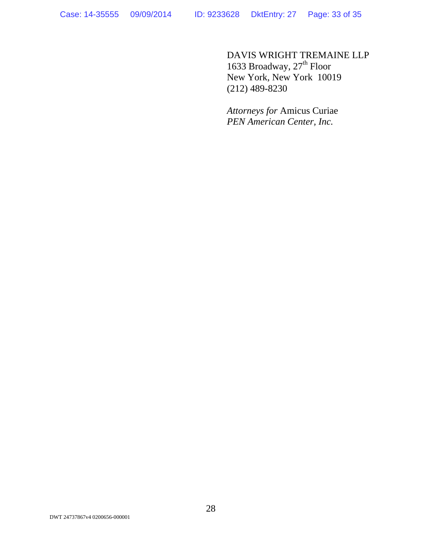DAVIS WRIGHT TREMAINE LLP 1633 Broadway,  $27<sup>th</sup>$  Floor New York, New York 10019 (212) 489-8230

*Attorneys for* Amicus Curiae *PEN American Center, Inc.*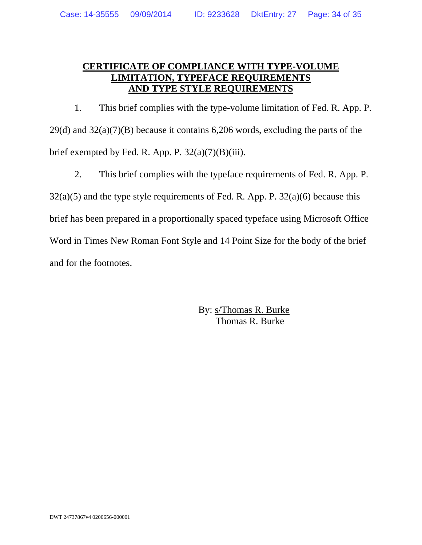## **CERTIFICATE OF COMPLIANCE WITH TYPE-VOLUME LIMITATION, TYPEFACE REQUIREMENTS AND TYPE STYLE REQUIREMENTS**

1. This brief complies with the type-volume limitation of Fed. R. App. P. 29(d) and 32(a)(7)(B) because it contains 6,206 words, excluding the parts of the brief exempted by Fed. R. App. P.  $32(a)(7)(B)(iii)$ .

2. This brief complies with the typeface requirements of Fed. R. App. P.  $32(a)(5)$  and the type style requirements of Fed. R. App. P.  $32(a)(6)$  because this brief has been prepared in a proportionally spaced typeface using Microsoft Office Word in Times New Roman Font Style and 14 Point Size for the body of the brief and for the footnotes.

> By: s/Thomas R. Burke Thomas R. Burke